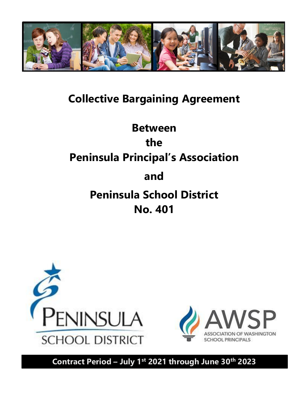

# **Collective Bargaining Agreement**

# **Between the Peninsula Principal's Association and Peninsula School District No. 401**





**Contract Period – July 1 st 2021 through June 30 th 2023**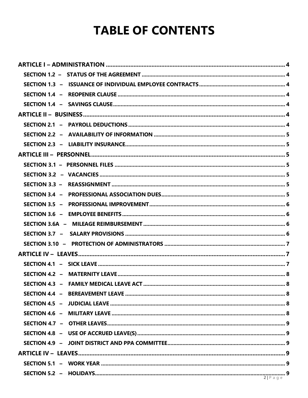# **TABLE OF CONTENTS**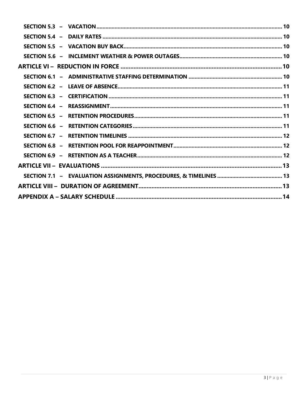| SECTION 5.4 $-$ |  |
|-----------------|--|
|                 |  |
|                 |  |
|                 |  |
|                 |  |
|                 |  |
|                 |  |
|                 |  |
|                 |  |
|                 |  |
|                 |  |
|                 |  |
|                 |  |
|                 |  |
|                 |  |
|                 |  |
|                 |  |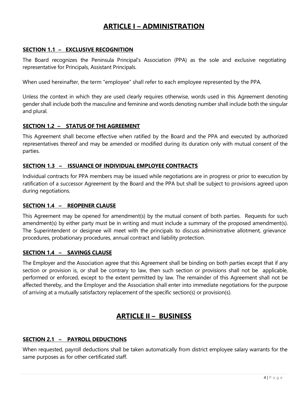# **ARTICLE I – ADMINISTRATION**

#### **SECTION 1.1 – EXCLUSIVE RECOGNITION**

The Board recognizes the Peninsula Principal's Association (PPA) as the sole and exclusive negotiating representative for Principals, Assistant Principals.

When used hereinafter, the term "employee" shall refer to each employee represented by the PPA.

Unless the context in which they are used clearly requires otherwise, words used in this Agreement denoting gender shall include both the masculine and feminine and words denoting number shall include both the singular and plural.

#### **SECTION 1.2 – STATUS OF THE AGREEMENT**

This Agreement shall become effective when ratified by the Board and the PPA and executed by authorized representatives thereof and may be amended or modified during its duration only with mutual consent of the parties.

#### **SECTION 1.3 – ISSUANCE OF INDIVIDUAL EMPLOYEE CONTRACTS**

Individual contracts for PPA members may be issued while negotiations are in progress or prior to execution by ratification of a successor Agreement by the Board and the PPA but shall be subject to provisions agreed upon during negotiations.

#### **SECTION 1.4 – REOPENER CLAUSE**

This Agreement may be opened for amendment(s) by the mutual consent of both parties. Requests for such amendment(s) by either party must be in writing and must include a summary of the proposed amendment(s). The Superintendent or designee will meet with the principals to discuss administrative allotment, grievance procedures, probationary procedures, annual contract and liability protection.

#### **SECTION 1.4 – SAVINGS CLAUSE**

The Employer and the Association agree that this Agreement shall be binding on both parties except that if any section or provision is, or shall be contrary to law, then such section or provisions shall not be applicable, performed or enforced, except to the extent permitted by law. The remainder of this Agreement shall not be affected thereby, and the Employer and the Association shall enter into immediate negotiations for the purpose of arriving at a mutually satisfactory replacement of the specific section(s) or provision(s).

# **ARTICLE II – BUSINESS**

# **SECTION 2.1 – PAYROLL DEDUCTIONS**

When requested, payroll deductions shall be taken automatically from district employee salary warrants for the same purposes as for other certificated staff.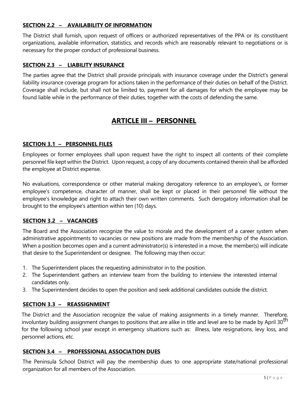# **SECTION 2.2 – AVAILABILITY OF INFORMATION**

The District shall furnish, upon request of officers or authorized representatives of the PPA or its constituent organizations, available information, statistics, and records which are reasonably relevant to negotiations or is necessary for the proper conduct of professional business.

# **SECTION 2.3 – LIABILITY INSURANCE**

The parties agree that the District shall provide principals with insurance coverage under the District's general liability insurance coverage program for actions taken in the performance of their duties on behalf of the District. Coverage shall include, but shall not be limited to, payment for all damages for which the employee may be found liable while in the performance of their duties, together with the costs of defending the same.

# **ARTICLE III – PERSONNEL**

# **SECTION 3.1 – PERSONNEL FILES**

Employees or former employees shall upon request have the right to inspect all contents of their complete personnel file kept within the District. Upon request, a copy of any documents contained therein shall be afforded the employee at District expense.

No evaluations, correspondence or other material making derogatory reference to an employee's, or former employee's competence, character of manner, shall be kept or placed in their personnel file without the employee's knowledge and right to attach their own written comments. Such derogatory information shall be brought to the employee's attention within ten (10) days.

# **SECTION 3.2 – VACANCIES**

The Board and the Association recognize the value to morale and the development of a career system when administrative appointments to vacancies or new positions are made from the membership of the Association. When a position becomes open and a current administrator(s) is interested in a move, the member(s) will indicate that desire to the Superintendent or designee. The following may then occur:

- 1. The Superintendent places the requesting administrator in to the position.
- 2. The Superintendent gathers an interview team from the building to interview the interested internal candidates only.
- 3. The Superintendent decides to open the position and seek additional candidates outside the district.

# **SECTION 3.3 – REASSIGNMENT**

The District and the Association recognize the value of making assignments in a timely manner. Therefore, involuntary building assignment changes to positions that are alike in title and level are to be made by April 30<sup>th</sup> for the following school year except in emergency situations such as: illness, late resignations, levy loss, and personnel actions, etc.

# **SECTION 3.4 – PROFESSIONAL ASSOCIATION DUES**

The Peninsula School District will pay the membership dues to one appropriate state/national professional organization for all members of the Association.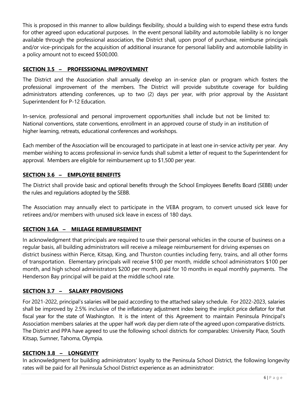This is proposed in this manner to allow buildings flexibility, should a building wish to expend these extra funds for other agreed upon educational purposes. In the event personal liability and automobile liability is no longer available through the professional association, the District shall, upon proof of purchase, reimburse principals and/or vice-principals for the acquisition of additional insurance for personal liability and automobile liability in a policy amount not to exceed \$500,000.

# **SECTION 3.5 – PROFESSIONAL IMPROVEMENT**

The District and the Association shall annually develop an in-service plan or program which fosters the professional improvement of the members. The District will provide substitute coverage for building administrators attending conferences, up to two (2) days per year, with prior approval by the Assistant Superintendent for P-12 Education.

In-service, professional and personal improvement opportunities shall include but not be limited to: National conventions, state conventions, enrollment in an approved course of study in an institution of higher learning, retreats, educational conferences and workshops.

Each member of the Association will be encouraged to participate in at least one in-service activity per year. Any member wishing to access professional in-service funds shall submit a letter of request to the Superintendent for approval. Members are eligible for reimbursement up to \$1,500 per year.

# **SECTION 3.6 – EMPLOYEE BENEFITS**

The District shall provide basic and optional benefits through the School Employees Benefits Board (SEBB) under the rules and regulations adopted by the SEBB.

The Association may annually elect to participate in the VEBA program, to convert unused sick leave for retirees and/or members with unused sick leave in excess of 180 days.

# **SECTION 3.6A – MILEAGE REIMBURSEMENT**

In acknowledgment that principals are required to use their personal vehicles in the course of business on a regular basis, all building administrators will receive a mileage reimbursement for driving expenses on district business within Pierce, Kitsap, King, and Thurston counties including ferry, trains, and all other forms of transportation. Elementary principals will receive \$100 per month, middle school administrators \$100 per month, and high school administrators \$200 per month, paid for 10 months in equal monthly payments. The Henderson Bay principal will be paid at the middle school rate.

# **SECTION 3.7 – SALARY PROVISIONS**

For 2021-2022, principal's salaries will be paid according to the attached salary schedule. For 2022-2023, salaries shall be improved by 2.5% inclusive of the inflationary adjustment index being the implicit price deflator for that fiscal year for the state of Washington. It is the intent of this Agreement to maintain Peninsula Principal's Association members salaries at the upper half work day per diem rate of the agreed upon comparative districts. The District and PPA have agreed to use the following school districts for comparables: University Place, South Kitsap, Sumner, Tahoma, Olympia.

# **SECTION 3.8 – LONGEVITY**

In acknowledgment for building administrators' loyalty to the Peninsula School District, the following longevity rates will be paid for all Peninsula School District experience as an administrator: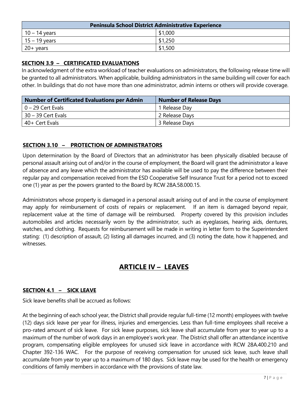| <b>Peninsula School District Administrative Experience</b> |         |  |  |
|------------------------------------------------------------|---------|--|--|
| $10 - 14$ years                                            | \$1,000 |  |  |
| $15 - 19$ years                                            | \$1,250 |  |  |
| $20+$ years                                                | \$1,500 |  |  |

# **SECTION 3.9 – CERTIFICATED EVALUATIONS**

In acknowledgment of the extra workload of teacher evaluations on administrators, the following release time will be granted to all administrators. When applicable, building administrators in the same building will cover for each other. In buildings that do not have more than one administrator, admin interns or others will provide coverage.

| <b>Number of Certificated Evaluations per Admin</b> | <b>Number of Release Days</b> |
|-----------------------------------------------------|-------------------------------|
| $0 - 29$ Cert Evals                                 | 1 Release Day                 |
| $30 - 39$ Cert Evals                                | 2 Release Days                |
| 40+ Cert Evals                                      | 3 Release Days                |

# **SECTION 3.10 – PROTECTION OF ADMINISTRATORS**

Upon determination by the Board of Directors that an administrator has been physically disabled because of personal assault arising out of and/or in the course of employment, the Board will grant the administrator a leave of absence and any leave which the administrator has available will be used to pay the difference between their regular pay and compensation received from the ESD Cooperative Self Insurance Trust for a period not to exceed one (1) year as per the powers granted to the Board by RCW 28A.58.000.15.

Administrators whose property is damaged in a personal assault arising out of and in the course of employment may apply for reimbursement of costs of repairs or replacement. If an item is damaged beyond repair, replacement value at the time of damage will be reimbursed. Property covered by this provision includes automobiles and articles necessarily worn by the administrator, such as eyeglasses, hearing aids, dentures, watches, and clothing. Requests for reimbursement will be made in writing in letter form to the Superintendent stating: (1) description of assault, (2) listing all damages incurred, and (3) noting the date, how it happened, and witnesses.

# **ARTICLE IV – LEAVES**

# **SECTION 4.1 – SICK LEAVE**

Sick leave benefits shall be accrued as follows:

At the beginning of each school year, the District shall provide regular full-time (12 month) employees with twelve (12) days sick leave per year for illness, injuries and emergencies. Less than full-time employees shall receive a pro-rated amount of sick leave. For sick leave purposes, sick leave shall accumulate from year to year up to a maximum of the number of work days in an employee's work year. The District shall offer an attendance incentive program, compensating eligible employees for unused sick leave in accordance with RCW 28A.400.210 and Chapter 392-136 WAC. For the purpose of receiving compensation for unused sick leave, such leave shall accumulate from year to year up to a maximum of 180 days. Sick leave may be used for the health or emergency conditions of family members in accordance with the provisions of state law.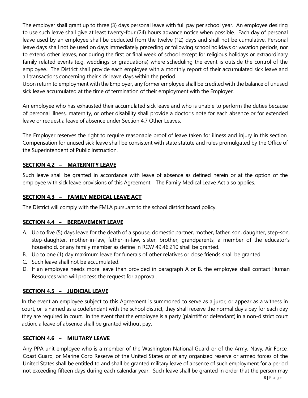The employer shall grant up to three (3) days personal leave with full pay per school year. An employee desiring to use such leave shall give at least twenty-four (24) hours advance notice when possible. Each day of personal leave used by an employee shall be deducted from the twelve (12) days and shall not be cumulative. Personal leave days shall not be used on days immediately preceding or following school holidays or vacation periods, nor to extend other leaves, nor during the first or final week of school except for religious holidays or extraordinary family-related events (e.g. weddings or graduations) where scheduling the event is outside the control of the employee. The District shall provide each employee with a monthly report of their accumulated sick leave and all transactions concerning their sick leave days within the period.

Upon return to employment with the Employer, any former employee shall be credited with the balance of unused sick leave accumulated at the time of termination of their employment with the Employer.

An employee who has exhausted their accumulated sick leave and who is unable to perform the duties because of personal illness, maternity, or other disability shall provide a doctor's note for each absence or for extended leave or request a leave of absence under Section 4.7 Other Leaves.

The Employer reserves the right to require reasonable proof of leave taken for illness and injury in this section. Compensation for unused sick leave shall be consistent with state statute and rules promulgated by the Office of the Superintendent of Public Instruction.

# **SECTION 4.2 – MATERNITY LEAVE**

Such leave shall be granted in accordance with leave of absence as defined herein or at the option of the employee with sick leave provisions of this Agreement. The Family Medical Leave Act also applies.

# **SECTION 4.3 – FAMILY MEDICAL LEAVE ACT**

The District will comply with the FMLA pursuant to the school district board policy.

# **SECTION 4.4 – BEREAVEMENT LEAVE**

- A. Up to five (5) days leave for the death of a spouse, domestic partner, mother, father, son, daughter, step-son, step-daughter, mother-in-law, father-in-law, sister, brother, grandparents, a member of the educator's household, or any family member as define in RCW 49.46.210 shall be granted.
- B. Up to one (1) day maximum leave for funerals of other relatives or close friends shall be granted.
- C. Such leave shall not be accumulated.
- D. If an employee needs more leave than provided in paragraph A or B. the employee shall contact Human Resources who will process the request for approval.

# **SECTION 4.5 – JUDICIAL LEAVE**

In the event an employee subject to this Agreement is summoned to serve as a juror, or appear as a witness in court, or is named as a codefendant with the school district, they shall receive the normal day's pay for each day they are required in court. In the event that the employee is a party (plaintiff or defendant) in a non-district court action, a leave of absence shall be granted without pay.

# **SECTION 4.6 – MILITARY LEAVE**

Any PPA unit employee who is a member of the Washington National Guard or of the Army, Navy, Air Force, Coast Guard, or Marine Corp Reserve of the United States or of any organized reserve or armed forces of the United States shall be entitled to and shall be granted military leave of absence of such employment for a period not exceeding fifteen days during each calendar year. Such leave shall be granted in order that the person may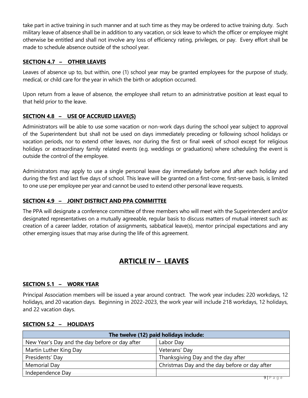take part in active training in such manner and at such time as they may be ordered to active training duty. Such military leave of absence shall be in addition to any vacation, or sick leave to which the officer or employee might otherwise be entitled and shall not involve any loss of efficiency rating, privileges, or pay. Every effort shall be made to schedule absence outside of the school year.

# **SECTION 4.7 – OTHER LEAVES**

Leaves of absence up to, but within, one (1) school year may be granted employees for the purpose of study, medical, or child care for the year in which the birth or adoption occurred.

Upon return from a leave of absence, the employee shall return to an administrative position at least equal to that held prior to the leave.

# **SECTION 4.8 – USE OF ACCRUED LEAVE(S)**

Administrators will be able to use some vacation or non-work days during the school year subject to approval of the Superintendent but shall not be used on days immediately preceding or following school holidays or vacation periods, nor to extend other leaves, nor during the first or final week of school except for religious holidays or extraordinary family related events (e.g. weddings or graduations) where scheduling the event is outside the control of the employee.

Administrators may apply to use a single personal leave day immediately before and after each holiday and during the first and last five days of school. This leave will be granted on a first-come, first-serve basis, is limited to one use per employee per year and cannot be used to extend other personal leave requests.

# **SECTION 4.9 – JOINT DISTRICT AND PPA COMMITTEE**

The PPA will designate a conference committee of three members who will meet with the Superintendent and/or designated representatives on a mutually agreeable, regular basis to discuss matters of mutual interest such as: creation of a career ladder, rotation of assignments, sabbatical leave(s), mentor principal expectations and any other emerging issues that may arise during the life of this agreement.

# **ARTICLE IV – LEAVES**

# **SECTION 5.1 – WORK YEAR**

Principal Association members will be issued a year around contract. The work year includes: 220 workdays, 12 holidays, and 20 vacation days. Beginning in 2022-2023, the work year will include 218 workdays, 12 holidays, and 22 vacation days.

| The twelve (12) paid holidays include:         |                                               |  |  |
|------------------------------------------------|-----------------------------------------------|--|--|
| New Year's Day and the day before or day after | Labor Day                                     |  |  |
| Martin Luther King Day                         | Veterans' Day                                 |  |  |
| Presidents' Day                                | Thanksgiving Day and the day after            |  |  |
| Memorial Day                                   | Christmas Day and the day before or day after |  |  |
| Independence Day                               |                                               |  |  |

# **SECTION 5.2 – HOLIDAYS**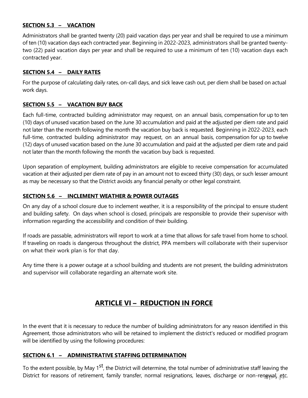#### **SECTION 5.3 – VACATION**

Administrators shall be granted twenty (20) paid vacation days per year and shall be required to use a minimum of ten (10) vacation days each contracted year. Beginning in 2022-2023, administrators shall be granted twentytwo (22) paid vacation days per year and shall be required to use a minimum of ten (10) vacation days each contracted year.

### **SECTION 5.4 – DAILY RATES**

For the purpose of calculating daily rates, on-call days, and sick leave cash out, per diem shall be based on actual work days.

# **SECTION 5.5 – VACATION BUY BACK**

Each full-time, contracted building administrator may request, on an annual basis, compensation for up to ten (10) days of unused vacation based on the June 30 accumulation and paid at the adjusted per diem rate and paid not later than the month following the month the vacation buy back is requested. Beginning in 2022-2023, each full-time, contracted building administrator may request, on an annual basis, compensation for up to twelve (12) days of unused vacation based on the June 30 accumulation and paid at the adjusted per diem rate and paid not later than the month following the month the vacation buy back is requested.

Upon separation of employment, building administrators are eligible to receive compensation for accumulated vacation at their adjusted per diem rate of pay in an amount not to exceed thirty (30) days, or such lesser amount as may be necessary so that the District avoids any financial penalty or other legal constraint.

# **SECTION 5.6 – INCLEMENT WEATHER & POWER OUTAGES**

On any day of a school closure due to inclement weather, it is a responsibility of the principal to ensure student and building safety. On days when school is closed, principals are responsible to provide their supervisor with information regarding the accessibility and condition of their building.

If roads are passable, administrators will report to work at a time that allows for safe travel from home to school. If traveling on roads is dangerous throughout the district, PPA members will collaborate with their supervisor on what their work plan is for that day.

Any time there is a power outage at a school building and students are not present, the building administrators and supervisor will collaborate regarding an alternate work site.

# **ARTICLE VI – REDUCTION IN FORCE**

In the event that it is necessary to reduce the number of building administrators for any reason identified in this Agreement, those administrators who will be retained to implement the district's reduced or modified program will be identified by using the following procedures:

# **SECTION 6.1 – ADMINISTRATIVE STAFFING DETERMINATION**

District for reasons of retirement, family transfer, normal resignations, leaves, discharge or non-renewal, etc. To the extent possible, by May 1<sup>st</sup>, the District will determine, the total number of administrative staff leaving the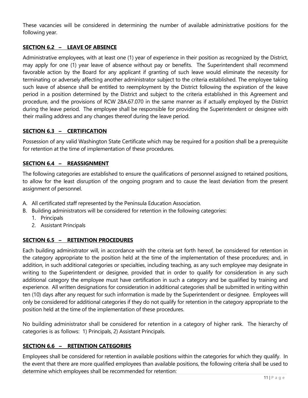These vacancies will be considered in determining the number of available administrative positions for the following year.

### **SECTION 6.2 – LEAVE OF ABSENCE**

Administrative employees, with at least one (1) year of experience in their position as recognized by the District, may apply for one (1) year leave of absence without pay or benefits. The Superintendent shall recommend favorable action by the Board for any applicant if granting of such leave would eliminate the necessity for terminating or adversely affecting another administrator subject to the criteria established. The employee taking such leave of absence shall be entitled to reemployment by the District following the expiration of the leave period in a position determined by the District and subject to the criteria established in this Agreement and procedure, and the provisions of RCW 28A.67.070 in the same manner as if actually employed by the District during the leave period. The employee shall be responsible for providing the Superintendent or designee with their mailing address and any changes thereof during the leave period.

# **SECTION 6.3 – CERTIFICATION**

Possession of any valid Washington State Certificate which may be required for a position shall be a prerequisite for retention at the time of implementation of these procedures.

#### **SECTION 6.4 – REASSIGNMENT**

The following categories are established to ensure the qualifications of personnel assigned to retained positions, to allow for the least disruption of the ongoing program and to cause the least deviation from the present assignment of personnel.

- A. All certificated staff represented by the Peninsula Education Association.
- B. Building administrators will be considered for retention in the following categories:
	- 1. Principals
	- 2. Assistant Principals

#### **SECTION 6.5 – RETENTION PROCEDURES**

Each building administrator will, in accordance with the criteria set forth hereof, be considered for retention in the category appropriate to the position held at the time of the implementation of these procedures; and, in addition, in such additional categories or specialties, including teaching, as any such employee may designate in writing to the Superintendent or designee, provided that in order to qualify for consideration in any such additional category the employee must have certification in such a category and be qualified by training and experience. All written designations for consideration in additional categories shall be submitted in writing within ten (10) days after any request for such information is made by the Superintendent or designee. Employees will only be considered for additional categories if they do not qualify for retention in the category appropriate to the position held at the time of the implementation of these procedures.

No building administrator shall be considered for retention in a category of higher rank. The hierarchy of categories is as follows: 1) Principals, 2) Assistant Principals.

#### **SECTION 6.6 – RETENTION CATEGORIES**

Employees shall be considered for retention in available positions within the categories for which they qualify. In the event that there are more qualified employees than available positions, the following criteria shall be used to determine which employees shall be recommended for retention: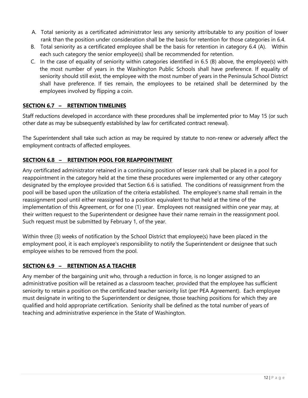- A. Total seniority as a certificated administrator less any seniority attributable to any position of lower rank than the position under consideration shall be the basis for retention for those categories in 6.4.
- B. Total seniority as a certificated employee shall be the basis for retention in category 6.4 (A). Within each such category the senior employee(s) shall be recommended for retention.
- C. In the case of equality of seniority within categories identified in 6.5 (B) above, the employee(s) with the most number of years in the Washington Public Schools shall have preference. If equality of seniority should still exist, the employee with the most number of years in the Peninsula School District shall have preference. If ties remain, the employees to be retained shall be determined by the employees involved by flipping a coin.

# **SECTION 6.7 – RETENTION TIMELINES**

Staff reductions developed in accordance with these procedures shall be implemented prior to May 15 (or such other date as may be subsequently established by law for certificated contract renewal).

The Superintendent shall take such action as may be required by statute to non-renew or adversely affect the employment contracts of affected employees.

# **SECTION 6.8 – RETENTION POOL FOR REAPPOINTMENT**

Any certificated administrator retained in a continuing position of lesser rank shall be placed in a pool for reappointment in the category held at the time these procedures were implemented or any other category designated by the employee provided that Section 6.6 is satisfied. The conditions of reassignment from the pool will be based upon the utilization of the criteria established. The employee's name shall remain in the reassignment pool until either reassigned to a position equivalent to that held at the time of the implementation of this Agreement, or for one (1) year. Employees not reassigned within one year may, at their written request to the Superintendent or designee have their name remain in the reassignment pool. Such request must be submitted by February 1, of the year.

Within three (3) weeks of notification by the School District that employee(s) have been placed in the employment pool, it is each employee's responsibility to notify the Superintendent or designee that such employee wishes to be removed from the pool.

# **SECTION 6.9 – RETENTION AS A TEACHER**

Any member of the bargaining unit who, through a reduction in force, is no longer assigned to an administrative position will be retained as a classroom teacher, provided that the employee has sufficient seniority to retain a position on the certificated teacher seniority list (per PEA Agreement). Each employee must designate in writing to the Superintendent or designee, those teaching positions for which they are qualified and hold appropriate certification. Seniority shall be defined as the total number of years of teaching and administrative experience in the State of Washington.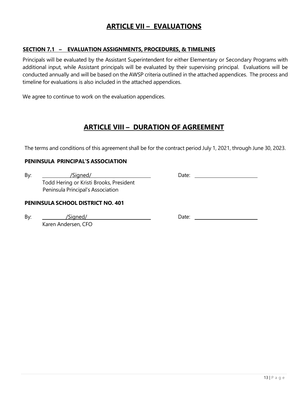# **ARTICLE VII – EVALUATIONS**

#### **SECTION 7.1 – EVALUATION ASSIGNMENTS, PROCEDURES, & TIMELINES**

Principals will be evaluated by the Assistant Superintendent for either Elementary or Secondary Programs with additional input, while Assistant principals will be evaluated by their supervising principal. Evaluations will be conducted annually and will be based on the AWSP criteria outlined in the attached appendices. The process and timeline for evaluations is also included in the attached appendices.

We agree to continue to work on the evaluation appendices.

# **ARTICLE VIII – DURATION OF AGREEMENT**

The terms and conditions of this agreement shall be for the contract period July 1, 2021, through June 30, 2023.

#### **PENINSULA PRINCIPAL'S ASSOCIATION**

By: /Signed/ Date: Todd Hering or Kristi Brooks, President Peninsula Principal's Association

#### **PENINSULA SCHOOL DISTRICT NO. 401**

Karen Andersen, CFO

By: /Signed/ Date: